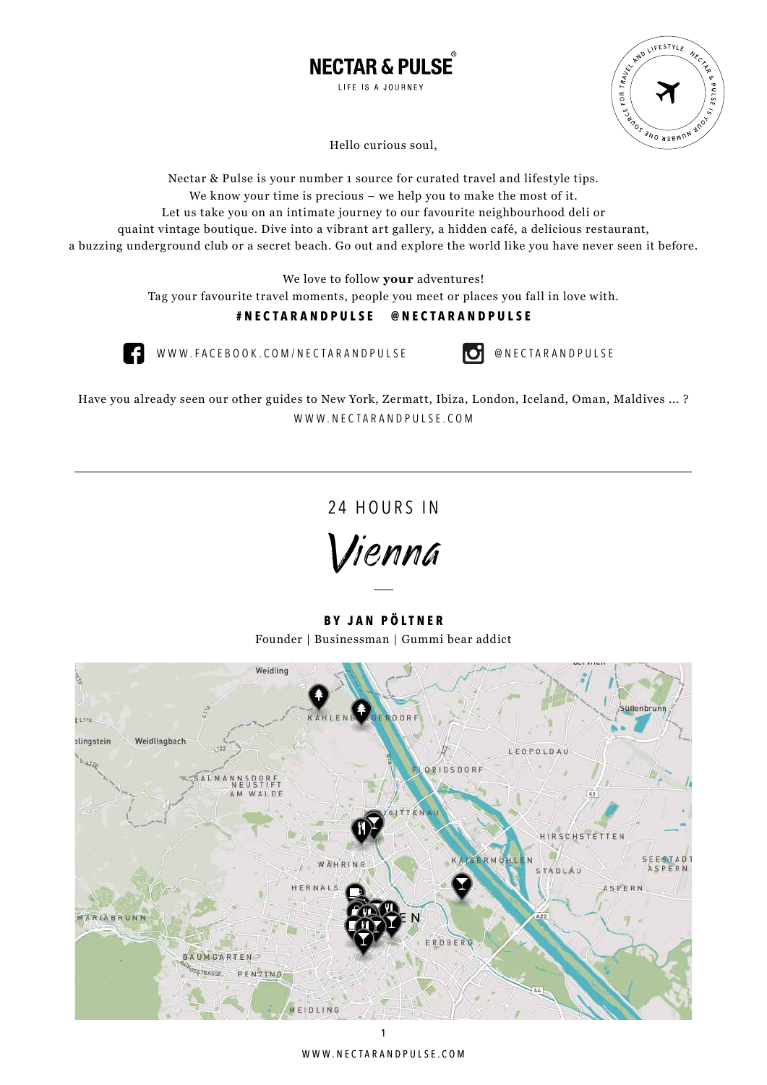



Hello curious soul,

Nectar & Pulse is your number 1 source for curated travel and lifestyle tips. We know your time is precious – we help you to make the most of it. Let us take you on an intimate journey to our favourite neighbourhood deli or quaint vintage boutique. Dive into a vibrant art gallery, a hidden café, a delicious restaurant, a buzzing underground club or a secret beach. Go out and explore the world like you have never seen it before.

We love to follow **your** adventures!

Tag your favourite travel moments, people you meet or places you fall in love with.

# **#NECTARANDPULSE @NECTARANDPULSE**



WWW.FACEBOOK.COM/NECTARANDPULSE **DenectarandPulse** 

Have you already seen our other guides to New York, Zermatt, Ibiza, London, Iceland, Oman, Maldives ... ? WWW.NECTARANDPULSE.COM

24 HOURS IN

Vienna

**BY JAN PÖLTNER** Founder | Businessman | Gummi bear addict

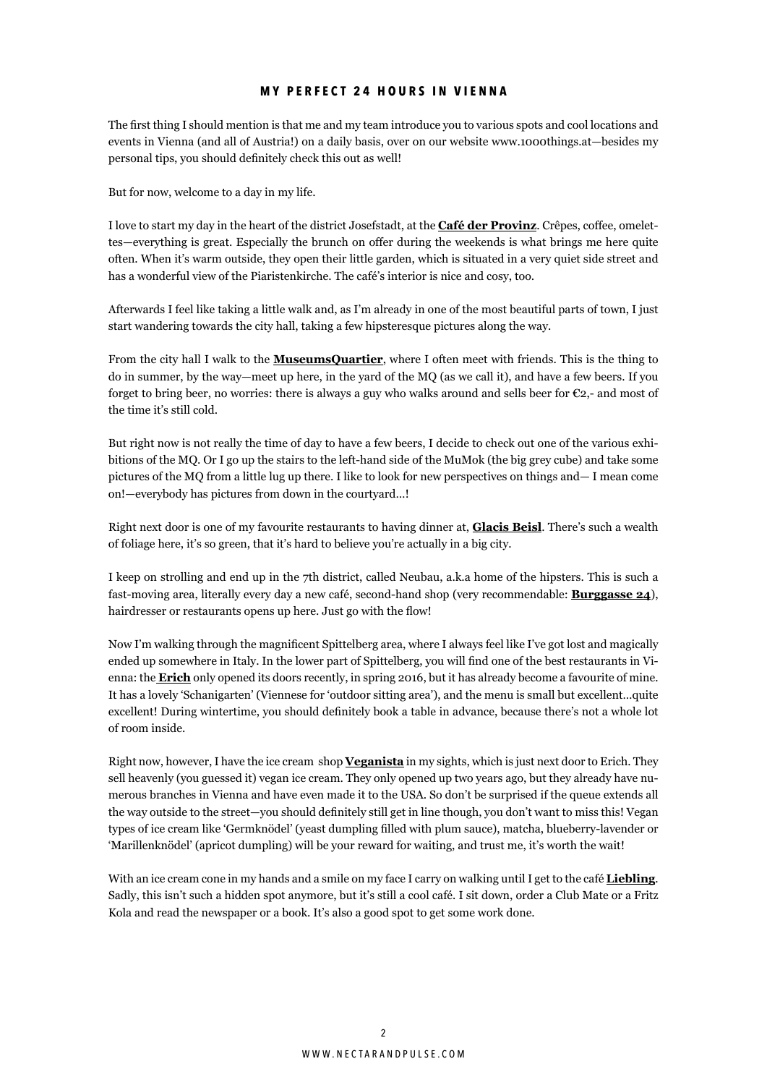# **MY PERFECT 24 HOURS IN VIENNA**

The first thing I should mention is that me and my team introduce you to various spots and cool locations and events in Vienna (and all of Austria!) on a daily basis, over on our website www.1000things.at—besides my personal tips, you should definitely check this out as well!

But for now, welcome to a day in my life.

I love to start my day in the heart of the district Josefstadt, at the **Café der Provinz**. Crêpes, coffee, omelettes—everything is great. Especially the brunch on offer during the weekends is what brings me here quite often. When it's warm outside, they open their little garden, which is situated in a very quiet side street and has a wonderful view of the Piaristenkirche. The café's interior is nice and cosy, too.

Afterwards I feel like taking a little walk and, as I'm already in one of the most beautiful parts of town, I just start wandering towards the city hall, taking a few hipsteresque pictures along the way.

From the city hall I walk to the **MuseumsQuartier**, where I often meet with friends. This is the thing to do in summer, by the way—meet up here, in the yard of the MQ (as we call it), and have a few beers. If you forget to bring beer, no worries: there is always a guy who walks around and sells beer for  $\mathfrak{C}_2$ , and most of the time it's still cold.

But right now is not really the time of day to have a few beers, I decide to check out one of the various exhibitions of the MQ. Or I go up the stairs to the left-hand side of the MuMok (the big grey cube) and take some pictures of the MQ from a little lug up there. I like to look for new perspectives on things and— I mean come on!—everybody has pictures from down in the courtyard…!

Right next door is one of my favourite restaurants to having dinner at, **Glacis Beisl**. There's such a wealth of foliage here, it's so green, that it's hard to believe you're actually in a big city.

I keep on strolling and end up in the 7th district, called Neubau, a.k.a home of the hipsters. This is such a fast-moving area, literally every day a new café, second-hand shop (very recommendable: **Burggasse 24**), hairdresser or restaurants opens up here. Just go with the flow!

Now I'm walking through the magnificent Spittelberg area, where I always feel like I've got lost and magically ended up somewhere in Italy. In the lower part of Spittelberg, you will find one of the best restaurants in Vienna: the **Erich** only opened its doors recently, in spring 2016, but it has already become a favourite of mine. It has a lovely 'Schanigarten' (Viennese for 'outdoor sitting area'), and the menu is small but excellent…quite excellent! During wintertime, you should definitely book a table in advance, because there's not a whole lot of room inside.

Right now, however, I have the ice cream shop **Veganista** in my sights, which is just next door to Erich. They sell heavenly (you guessed it) vegan ice cream. They only opened up two years ago, but they already have numerous branches in Vienna and have even made it to the USA. So don't be surprised if the queue extends all the way outside to the street—you should definitely still get in line though, you don't want to miss this! Vegan types of ice cream like 'Germknödel' (yeast dumpling filled with plum sauce), matcha, blueberry-lavender or 'Marillenknödel' (apricot dumpling) will be your reward for waiting, and trust me, it's worth the wait!

With an ice cream cone in my hands and a smile on my face I carry on walking until I get to the café **Liebling**. Sadly, this isn't such a hidden spot anymore, but it's still a cool café. I sit down, order a Club Mate or a Fritz Kola and read the newspaper or a book. It's also a good spot to get some work done.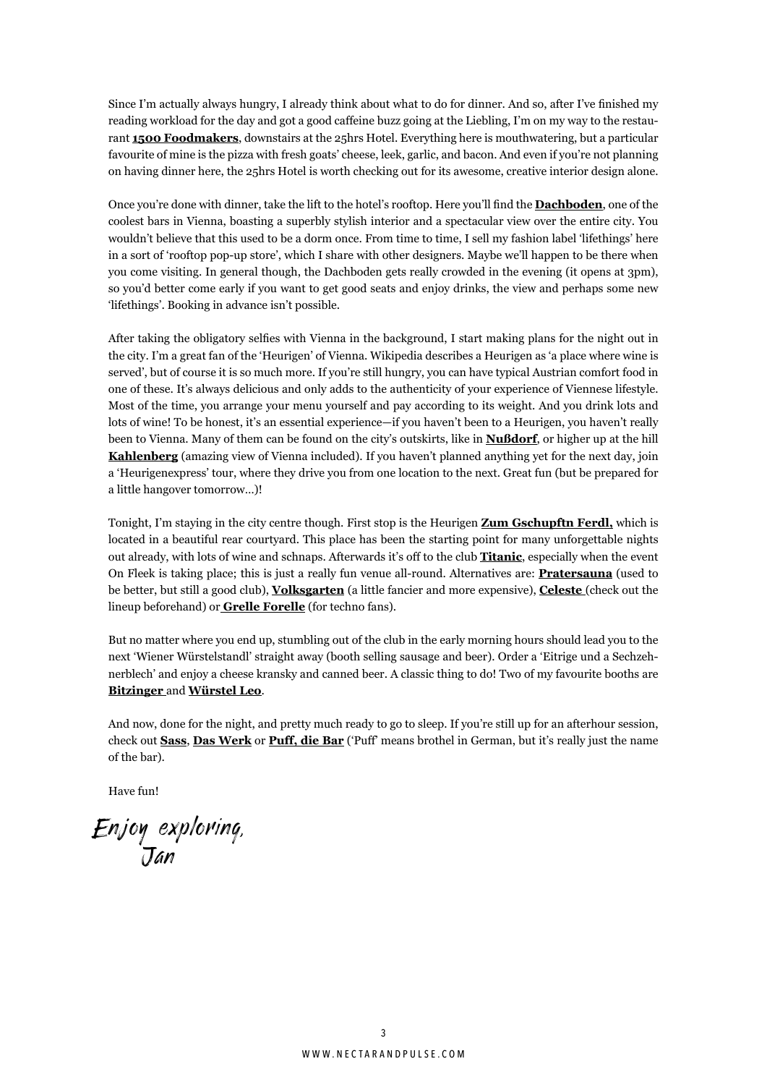Since I'm actually always hungry, I already think about what to do for dinner. And so, after I've finished my reading workload for the day and got a good caffeine buzz going at the Liebling, I'm on my way to the restaurant **1500 Foodmakers**, downstairs at the 25hrs Hotel. Everything here is mouthwatering, but a particular favourite of mine is the pizza with fresh goats' cheese, leek, garlic, and bacon. And even if you're not planning on having dinner here, the 25hrs Hotel is worth checking out for its awesome, creative interior design alone.

Once you're done with dinner, take the lift to the hotel's rooftop. Here you'll find the **Dachboden**, one of the coolest bars in Vienna, boasting a superbly stylish interior and a spectacular view over the entire city. You wouldn't believe that this used to be a dorm once. From time to time, I sell my fashion label 'lifethings' here in a sort of 'rooftop pop-up store', which I share with other designers. Maybe we'll happen to be there when you come visiting. In general though, the Dachboden gets really crowded in the evening (it opens at 3pm), so you'd better come early if you want to get good seats and enjoy drinks, the view and perhaps some new 'lifethings'. Booking in advance isn't possible.

After taking the obligatory selfies with Vienna in the background, I start making plans for the night out in the city. I'm a great fan of the 'Heurigen' of Vienna. Wikipedia describes a Heurigen as 'a place where wine is served', but of course it is so much more. If you're still hungry, you can have typical Austrian comfort food in one of these. It's always delicious and only adds to the authenticity of your experience of Viennese lifestyle. Most of the time, you arrange your menu yourself and pay according to its weight. And you drink lots and lots of wine! To be honest, it's an essential experience—if you haven't been to a Heurigen, you haven't really been to Vienna. Many of them can be found on the city's outskirts, like in **Nußdorf**, or higher up at the hill **Kahlenberg** (amazing view of Vienna included). If you haven't planned anything yet for the next day, join a 'Heurigenexpress' tour, where they drive you from one location to the next. Great fun (but be prepared for a little hangover tomorrow…)!

Tonight, I'm staying in the city centre though. First stop is the Heurigen **Zum Gschupftn Ferdl,** which is located in a beautiful rear courtyard. This place has been the starting point for many unforgettable nights out already, with lots of wine and schnaps. Afterwards it's off to the club **Titanic**, especially when the event On Fleek is taking place; this is just a really fun venue all-round. Alternatives are: **Pratersauna** (used to be better, but still a good club), **Volksgarten** (a little fancier and more expensive), **Celeste** (check out the lineup beforehand) or **Grelle Forelle** (for techno fans).

But no matter where you end up, stumbling out of the club in the early morning hours should lead you to the next 'Wiener Würstelstandl' straight away (booth selling sausage and beer). Order a 'Eitrige und a Sechzehnerblech' and enjoy a cheese kransky and canned beer. A classic thing to do! Two of my favourite booths are **Bitzinger** and **Würstel Leo**.

And now, done for the night, and pretty much ready to go to sleep. If you're still up for an afterhour session, check out **Sass**, **Das Werk** or **Puff, die Bar** ('Puff' means brothel in German, but it's really just the name of the bar).

Have fun!

Enjoy exploring, Jan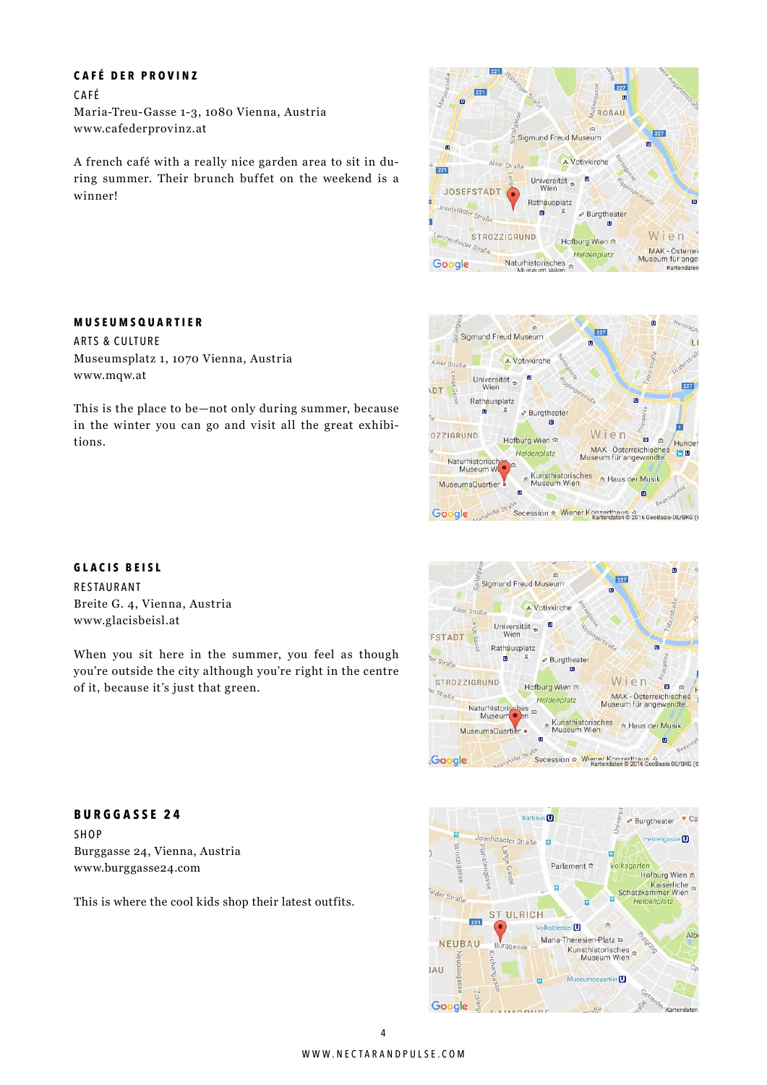# **CAFÉ DER PROVINZ**

CAFÉ Maria-Treu-Gasse 1-3, 1080 Vienna, Austria www.cafederprovinz.at

A french café with a really nice garden area to sit in during summer. Their brunch buffet on the weekend is a winner!

# **MUSEUMSQUARTIER**

ARTS & CULTURE Museumsplatz 1, 1070 Vienna, Austria www.mqw.at

This is the place to be—not only during summer, because in the winter you can go and visit all the great exhibitions.

## **GLACIS BEISL**

RESTAURANT Breite G. 4, Vienna, Austria www.glacisbeisl.at

When you sit here in the summer, you feel as though you're outside the city although you're right in the centre of it, because it's just that green.

# **BURGGASSE 24**

**SHOP** Burggasse 24, Vienna, Austria www.burggasse24.com

This is where the cool kids shop their latest outfits.







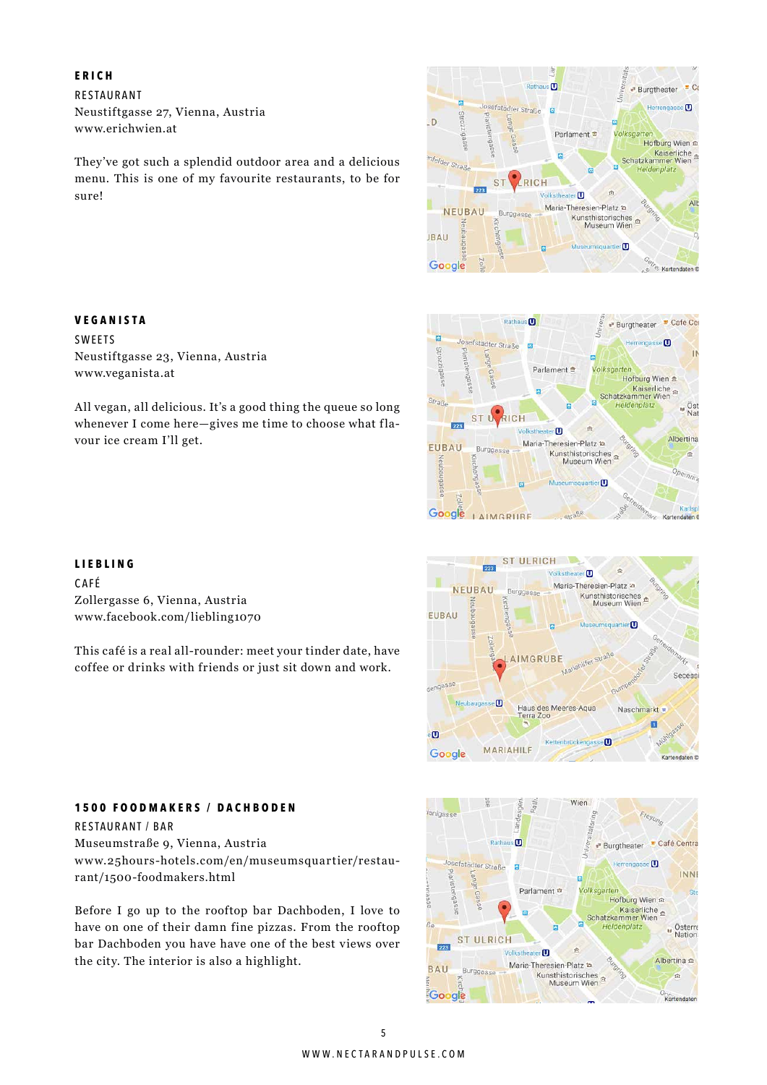## **ERICH**

RESTAURANT Neustiftgasse 27, Vienna, Austria www.erichwien.at

They've got such a splendid outdoor area and a delicious menu. This is one of my favourite restaurants, to be for sure!

# **VEGANISTA**

SWEETS Neustiftgasse 23, Vienna, Austria www.veganista.at

All vegan, all delicious. It's a good thing the queue so long whenever I come here—gives me time to choose what flavour ice cream I'll get.

#### **LIEBLING**

CAFÉ Zollergasse 6, Vienna, Austria www.facebook.com/liebling1070

This café is a real all-rounder: meet your tinder date, have coffee or drinks with friends or just sit down and work.







#### Wien lanigass Freyund Burgtheater Café Centra Rathau  $\bullet$ losefstädter Straße  $\overline{0}$ **INNI** Parlament <sup>m</sup> Hofburg Wien Kaiserliche E E Heldenplatz **D**Sterre **ST ULRICH** 223  $\blacksquare$ Albertina e Maria-Theresien-Platz to **BAU** Burggasse Kunsthistorisches é Google Kartendater

#### **1500 FOODMAKERS / DACHBODEN**

RESTAURANT / BAR Museumstraße 9, Vienna, Austria www.25hours-hotels.com/en/museumsquartier/restaurant/1500-foodmakers.html

Before I go up to the rooftop bar Dachboden, I love to have on one of their damn fine pizzas. From the rooftop bar Dachboden you have have one of the best views over the city. The interior is also a highlight.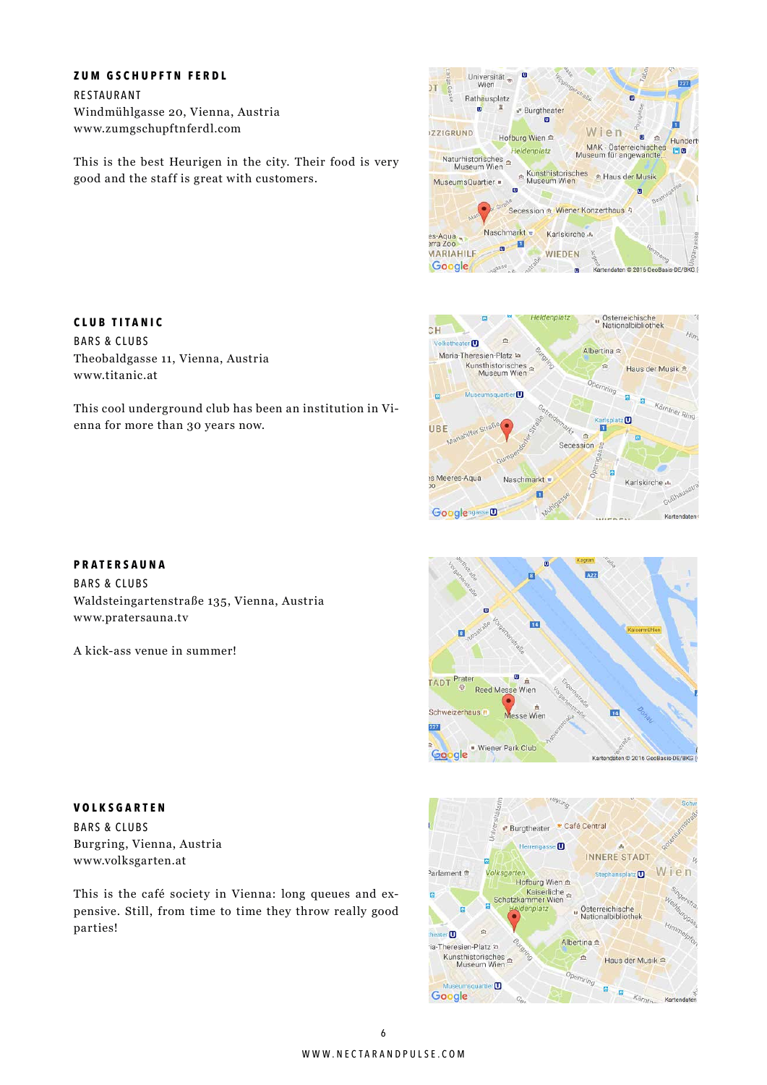# **ZUM GSCHUPFTN FERDL**

RESTAURANT Windmühlgasse 20, Vienna, Austria www.zumgschupftnferdl.com

This is the best Heurigen in the city. Their food is very good and the staff is great with customers.









# **CLUB TITANIC**

BARS & CLUBS Theobaldgasse 11, Vienna, Austria www.titanic.at

This cool underground club has been an institution in Vienna for more than 30 years now.

# **PRATERSAUNA**

BARS & CLUBS Waldsteingartenstraße 135, Vienna, Austria www.pratersauna.tv

A kick-ass venue in summer!

**VOLKSGARTEN**

BARS & CLUBS Burgring, Vienna, Austria www.volksgarten.at

This is the café society in Vienna: long queues and expensive. Still, from time to time they throw really good parties!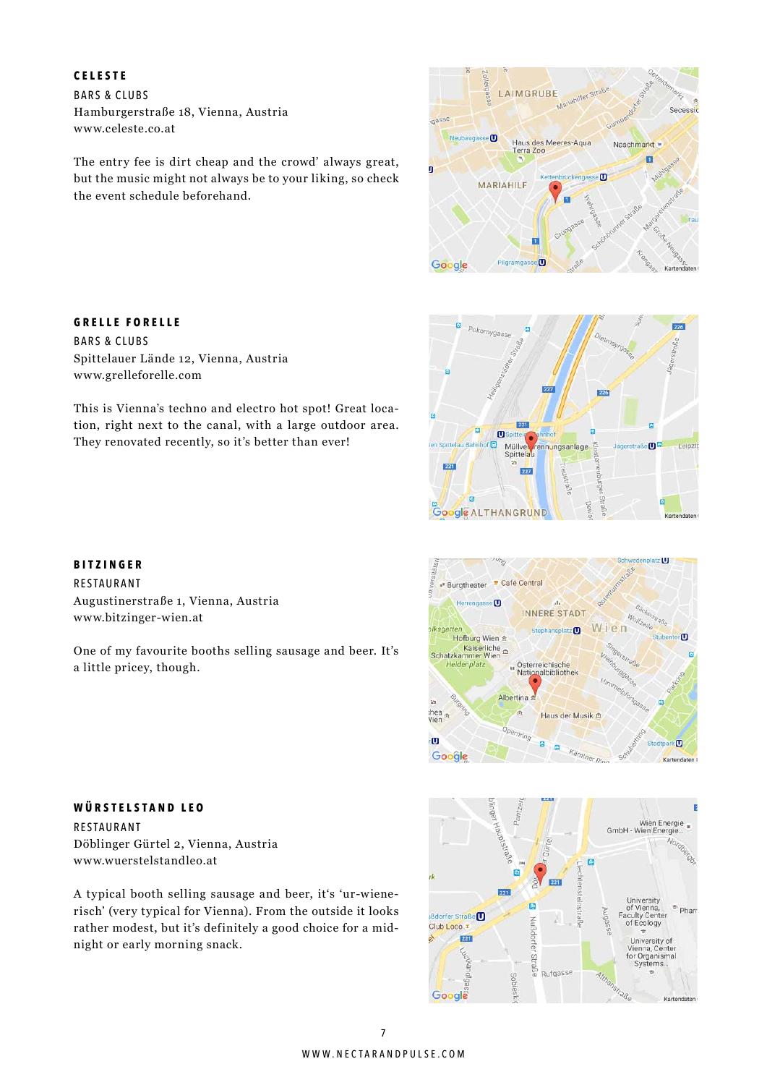# **CELESTE**

BARS & CLUBS Hamburgerstraße 18, Vienna, Austria www.celeste.co.at

The entry fee is dirt cheap and the crowd' always great, but the music might not always be to your liking, so check the event schedule beforehand.



# 276 Pokomygass  $226$ 221 è  $\mathbf{C}$ ō Leipzi Mülly ennungsanlage Spittela 24  $\boxed{227}$ **Coogle ALTHANGRUND**





#### **GRELLE FORELLE**

BARS & CLUBS Spittelauer Lände 12, Vienna, Austria www.grelleforelle.com

This is Vienna's techno and electro hot spot! Great location, right next to the canal, with a large outdoor area. They renovated recently, so it's better than ever!

# **BITZINGER**

RESTAURANT Augustinerstraße 1, Vienna, Austria www.bitzinger-wien.at

One of my favourite booths selling sausage and beer. It's a little pricey, though.

# **WÜRSTELSTAND LEO** RESTAURANT

Döblinger Gürtel 2, Vienna, Austria www.wuerstelstandleo.at

A typical booth selling sausage and beer, it's 'ur-wienerisch' (very typical for Vienna). From the outside it looks rather modest, but it's definitely a good choice for a midnight or early morning snack.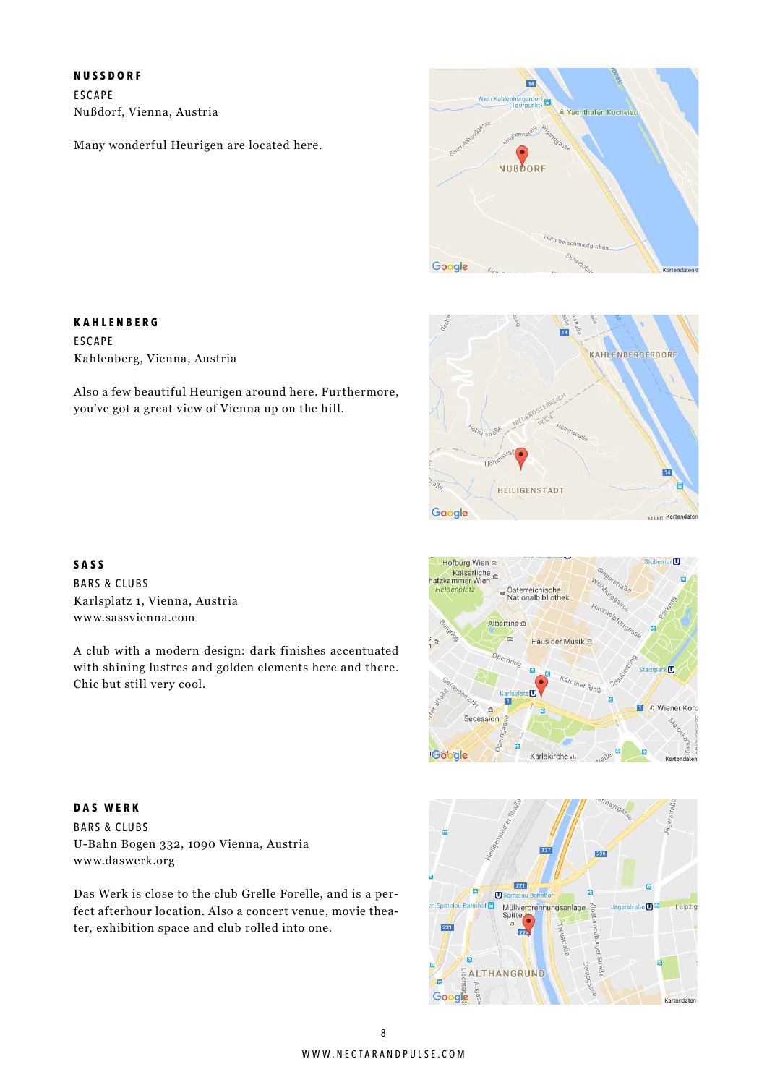**NUSSDORF**

**KAHLENBERG**

Kahlenberg, Vienna, Austria

ESCAPE

ESCAPE Nußdorf, Vienna, Austria

Many wonderful Heurigen are located here.







BARS & CLUBS Karlsplatz 1, Vienna, Austria www.sassvienna.com

A club with a modern design: dark finishes accentuated with shining lustres and golden elements here and there. Chic but still very cool.

Also a few beautiful Heurigen around here. Furthermore,

you've got a great view of Vienna up on the hill.



**DAS WERK** BARS & CLUBS U-Bahn Bogen 332, 1090 Vienna, Austria www.daswerk.org

Das Werk is close to the club Grelle Forelle, and is a perfect afterhour location. Also a concert venue, movie theater, exhibition space and club rolled into one.